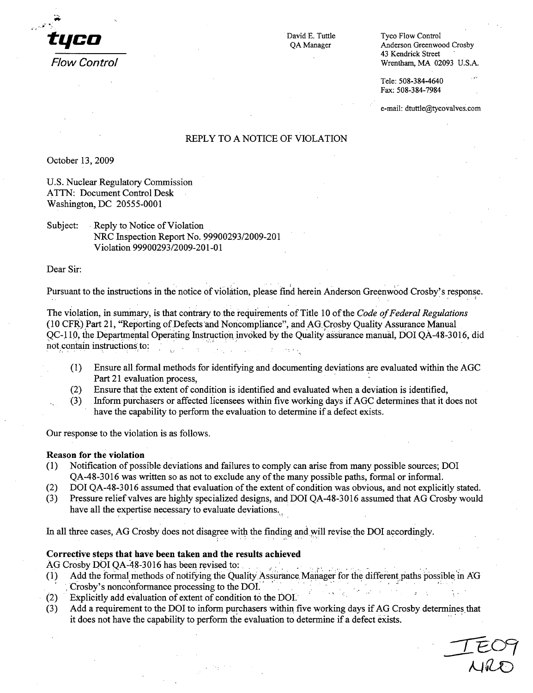

David E. Tuttle Tyco Flow Control QA Manager Anderson Greenwood Crosby 43 Kendrick Street Flow *Control* Wrentham, MA 02093 U.S.A.

> Tele: 508-384-4640 Fax: 508-384-7984

e-mail: dtuttle@tycovalves.com

## REPLY TO A NOTICE OF VIOLATION

October 13, 2009

U.S. Nuclear Regulatory Commission **ATTN:** Document Control Desk Washington, DC 20555-0001

Subject: Reply to Notice of Violation NRC Inspection Report No. 99900293/2009-201 Violation 99900293/2009-201-01

Dear Sir:

Pursuant to the instructions in the notice of violation, please find herein Anderson Greenwood Crosby's response.

The violation, in summary, is that contrary to the requirements of Title 10 of the *Code of Federal Regulations* (10 CFR) Part 21, "Reporting of Defects and Noncompliance", and **AG.** Crosby Quality Assurance Manual **QC-1 10,** the Departmental Operating Instruction :invoked by the Quality assurance manual, DOI QA-48-3016, did not contain instructions to:

- (1) Ensure all formal methods for identifying and documenting deviations are evaluated within the AGC Part 21 evaluation process,
- (2) Ensure that the extent of condition is identified and evaluated when a deviation is identified,
- \*(3) Inform purchasers or affected licensees within five working days if AGC determines that it does not have the capability to perform the evaluation to determine if a defect exists.

Our response to the violation is as follows.

#### Reason for the violation

- (1) Notification of possible deviations and failures to comply can arise from many possible sources; DOI QA-48-3016 was written so as not to exclude any of the many possible paths, formal or informal.
- (2) DOI QA-48-3016 assumed that evaluation of the extent of condition was obvious, and not explicitly stated.
- (3) Pressure relief valves are highly specialized designs, and DOI QA-48-3016 assumed that AG Crosby would have all the expertise necessary to evaluate deviations.

In all three cases, AG Crosby does not disagree with the finding and will revise the DOI accordingly.

### Corrective steps that have been taken and the results achieved

AG Crosby DOI QA-48-3016 has been revised to:

- (1) Add the formal methods of notifying the Quality Assurance Manager for the different paths possible in *AG* Crosby's nonconformance processing to the DOI. .
- $(2)$  Explicitly add evaluation of extent of condition to the DOI.
- (3) Add a requirement to the DOI to inform purchasers within five working days if AG Crosby determines that it does not have the capability to perform the evaluation to determine if a defect exists.